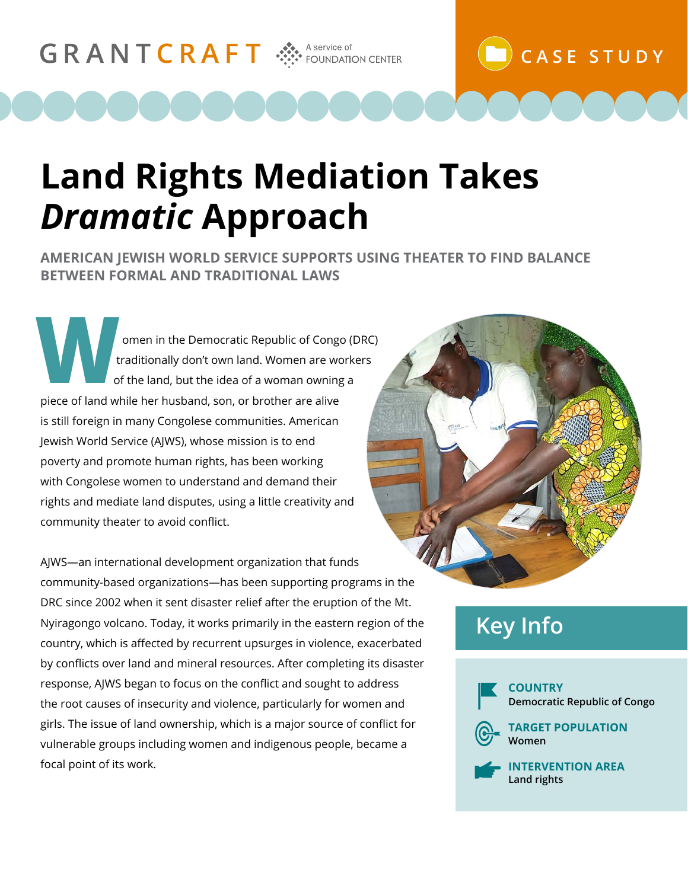# GRANTCRAFT AS A Service of **CRANT CRANT A SECULAR** FOUNDATION CENTER

# **Land Rights Mediation Takes**  *Dramatic* **Approach**

**AMERICAN JEWISH WORLD SERVICE SUPPORTS USING THEATER TO FIND BALANCE BETWEEN FORMAL AND TRADITIONAL LAWS**

omen in the Democratic Republic of Congo (DRC) traditionally don't own land. Women are workers of the land, but the idea of a woman owning a piece of land while her husband, son, or brother are alive is still foreign in many Congolese communities. American Jewish World Service (AJWS), whose mission is to end poverty and promote human rights, has been working with Congolese women to understand and demand their rights and mediate land disputes, using a little creativity and community theater to avoid conflict.

AJWS—an international development organization that funds community-based organizations—has been supporting programs in the DRC since 2002 when it sent disaster relief after the eruption of the Mt. Nyiragongo volcano. Today, it works primarily in the eastern region of the country, which is affected by recurrent upsurges in violence, exacerbated by conflicts over land and mineral resources. After completing its disaster response, AJWS began to focus on the conflict and sought to address the root causes of insecurity and violence, particularly for women and girls. The issue of land ownership, which is a major source of conflict for vulnerable groups including women and indigenous people, became a focal point of its work.

**CASE STUDY**

## **Key Info**



**INTERVENTION AREA Land rights**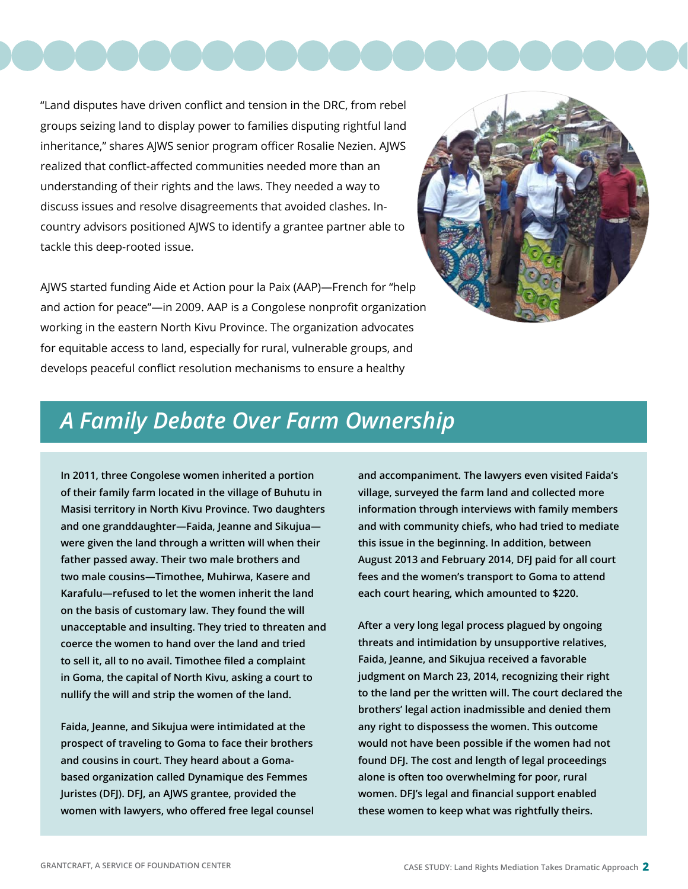

"Land disputes have driven conflict and tension in the DRC, from rebel groups seizing land to display power to families disputing rightful land inheritance," shares AJWS senior program officer Rosalie Nezien. AJWS realized that conflict-affected communities needed more than an understanding of their rights and the laws. They needed a way to discuss issues and resolve disagreements that avoided clashes. Incountry advisors positioned AJWS to identify a grantee partner able to tackle this deep-rooted issue.

AJWS started funding Aide et Action pour la Paix (AAP)—French for "help and action for peace"—in 2009. AAP is a Congolese nonprofit organization working in the eastern North Kivu Province. The organization advocates for equitable access to land, especially for rural, vulnerable groups, and develops peaceful conflict resolution mechanisms to ensure a healthy



#### *A Family Debate Over Farm Ownership*

**In 2011, three Congolese women inherited a portion of their family farm located in the village of Buhutu in Masisi territory in North Kivu Province. Two daughters and one granddaughter—Faida, Jeanne and Sikujua were given the land through a written will when their father passed away. Their two male brothers and two male cousins—Timothee, Muhirwa, Kasere and Karafulu—refused to let the women inherit the land on the basis of customary law. They found the will unacceptable and insulting. They tried to threaten and coerce the women to hand over the land and tried to sell it, all to no avail. Timothee filed a complaint in Goma, the capital of North Kivu, asking a court to nullify the will and strip the women of the land.**

**Faida, Jeanne, and Sikujua were intimidated at the prospect of traveling to Goma to face their brothers and cousins in court. They heard about a Gomabased organization called Dynamique des Femmes Juristes (DFJ). DFJ, an AJWS grantee, provided the women with lawyers, who offered free legal counsel**  **and accompaniment. The lawyers even visited Faida's village, surveyed the farm land and collected more information through interviews with family members and with community chiefs, who had tried to mediate this issue in the beginning. In addition, between August 2013 and February 2014, DFJ paid for all court fees and the women's transport to Goma to attend each court hearing, which amounted to \$220.** 

**After a very long legal process plagued by ongoing threats and intimidation by unsupportive relatives, Faida, Jeanne, and Sikujua received a favorable judgment on March 23, 2014, recognizing their right to the land per the written will. The court declared the brothers' legal action inadmissible and denied them any right to dispossess the women. This outcome would not have been possible if the women had not found DFJ. The cost and length of legal proceedings alone is often too overwhelming for poor, rural women. DFJ's legal and financial support enabled these women to keep what was rightfully theirs.**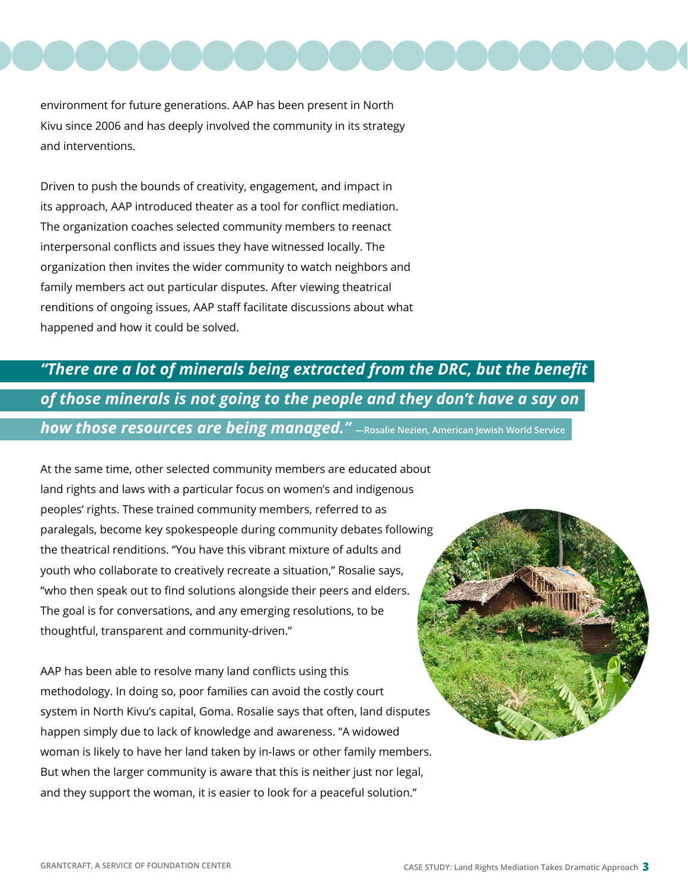

environment for future generations. AAP has been present in North Kivu since 2006 and has deeply involved the community in its strategy and interventions.

Driven to push the bounds of creativity, engagement, and impact in its approach, AAP introduced theater as a tool for conflict mediation. The organization coaches selected community members to reenact interpersonal conflicts and issues they have witnessed locally. The organization then invites the wider community to watch neighbors and family members act out particular disputes. After viewing theatrical renditions of ongoing issues, AAP staff facilitate discussions about what happened and how it could be solved.

#### *"There are a lot of minerals being extracted from the DRC, but the benefit of those minerals is not going to the people and they don't have a say on how those resources are being managed."* **—Rosalie Nezien, American Jewish World Service**

At the same time, other selected community members are educated about land rights and laws with a particular focus on women's and indigenous peoples' rights. These trained community members, referred to as paralegals, become key spokespeople during community debates following the theatrical renditions. "You have this vibrant mixture of adults and youth who collaborate to creatively recreate a situation," Rosalie says, "who then speak out to find solutions alongside their peers and elders. The goal is for conversations, and any emerging resolutions, to be thoughtful, transparent and community-driven."

AAP has been able to resolve many land conflicts using this methodology. In doing so, poor families can avoid the costly court system in North Kivu's capital, Goma. Rosalie says that often, land disputes happen simply due to lack of knowledge and awareness. "A widowed woman is likely to have her land taken by in-laws or other family members. But when the larger community is aware that this is neither just nor legal, and they support the woman, it is easier to look for a peaceful solution."

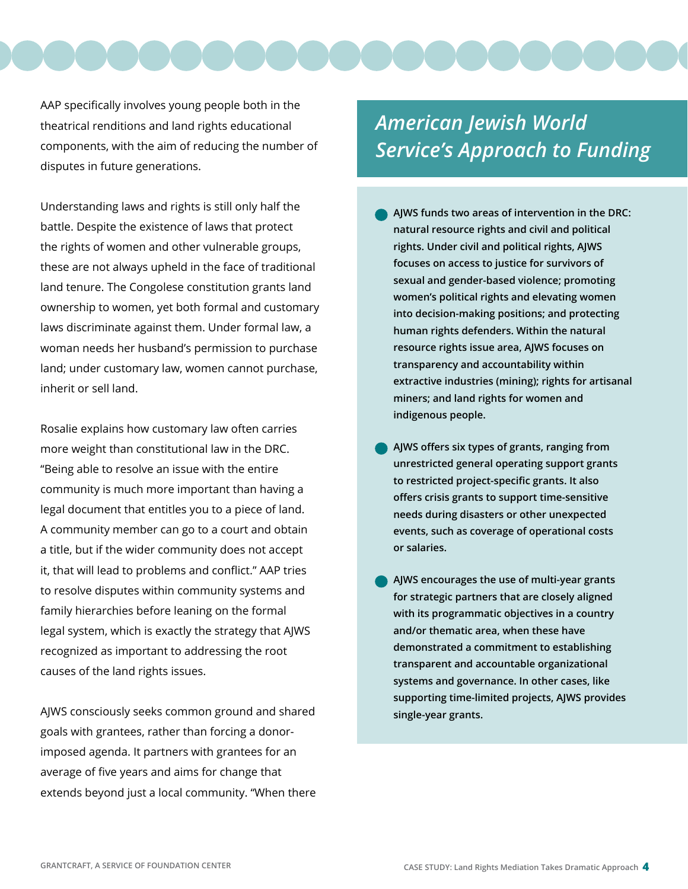

AAP specifically involves young people both in the theatrical renditions and land rights educational components, with the aim of reducing the number of disputes in future generations.

Understanding laws and rights is still only half the battle. Despite the existence of laws that protect the rights of women and other vulnerable groups, these are not always upheld in the face of traditional land tenure. The Congolese constitution grants land ownership to women, yet both formal and customary laws discriminate against them. Under formal law, a woman needs her husband's permission to purchase land; under customary law, women cannot purchase, inherit or sell land.

Rosalie explains how customary law often carries more weight than constitutional law in the DRC. "Being able to resolve an issue with the entire community is much more important than having a legal document that entitles you to a piece of land. A community member can go to a court and obtain a title, but if the wider community does not accept it, that will lead to problems and conflict." AAP tries to resolve disputes within community systems and family hierarchies before leaning on the formal legal system, which is exactly the strategy that AJWS recognized as important to addressing the root causes of the land rights issues.

AJWS consciously seeks common ground and shared goals with grantees, rather than forcing a donorimposed agenda. It partners with grantees for an average of five years and aims for change that extends beyond just a local community. "When there

### *American Jewish World Service's Approach to Funding*

- **AJWS funds two areas of intervention in the DRC: natural resource rights and civil and political rights. Under civil and political rights, AJWS focuses on access to justice for survivors of sexual and gender-based violence; promoting women's political rights and elevating women into decision-making positions; and protecting human rights defenders. Within the natural resource rights issue area, AJWS focuses on transparency and accountability within extractive industries (mining); rights for artisanal miners; and land rights for women and indigenous people.**
- **AJWS offers six types of grants, ranging from unrestricted general operating support grants to restricted project-specific grants. It also offers crisis grants to support time-sensitive needs during disasters or other unexpected events, such as coverage of operational costs or salaries.**
- **AJWS encourages the use of multi-year grants for strategic partners that are closely aligned with its programmatic objectives in a country and/or thematic area, when these have demonstrated a commitment to establishing transparent and accountable organizational systems and governance. In other cases, like supporting time-limited projects, AJWS provides single-year grants.**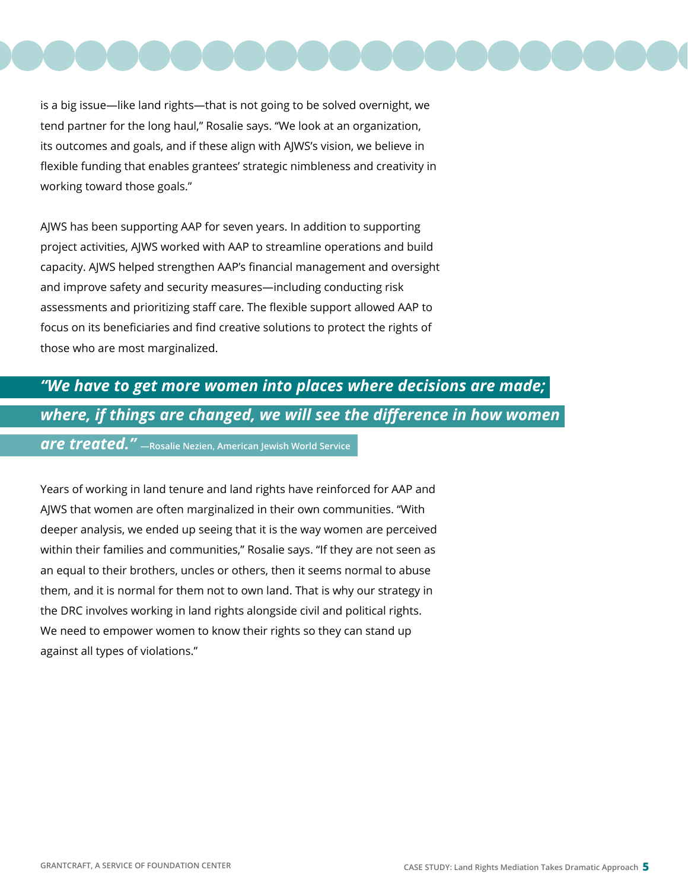

is a big issue—like land rights—that is not going to be solved overnight, we tend partner for the long haul," Rosalie says. "We look at an organization, its outcomes and goals, and if these align with AJWS's vision, we believe in flexible funding that enables grantees' strategic nimbleness and creativity in working toward those goals."

AJWS has been supporting AAP for seven years. In addition to supporting project activities, AJWS worked with AAP to streamline operations and build capacity. AJWS helped strengthen AAP's financial management and oversight and improve safety and security measures—including conducting risk assessments and prioritizing staff care. The flexible support allowed AAP to focus on its beneficiaries and find creative solutions to protect the rights of those who are most marginalized.

# *"We have to get more women into places where decisions are made; where, if things are changed, we will see the difference in how women*

*are treated."* **—Rosalie Nezien, American Jewish World Service**

Years of working in land tenure and land rights have reinforced for AAP and AJWS that women are often marginalized in their own communities. "With deeper analysis, we ended up seeing that it is the way women are perceived within their families and communities," Rosalie says. "If they are not seen as an equal to their brothers, uncles or others, then it seems normal to abuse them, and it is normal for them not to own land. That is why our strategy in the DRC involves working in land rights alongside civil and political rights. We need to empower women to know their rights so they can stand up against all types of violations."